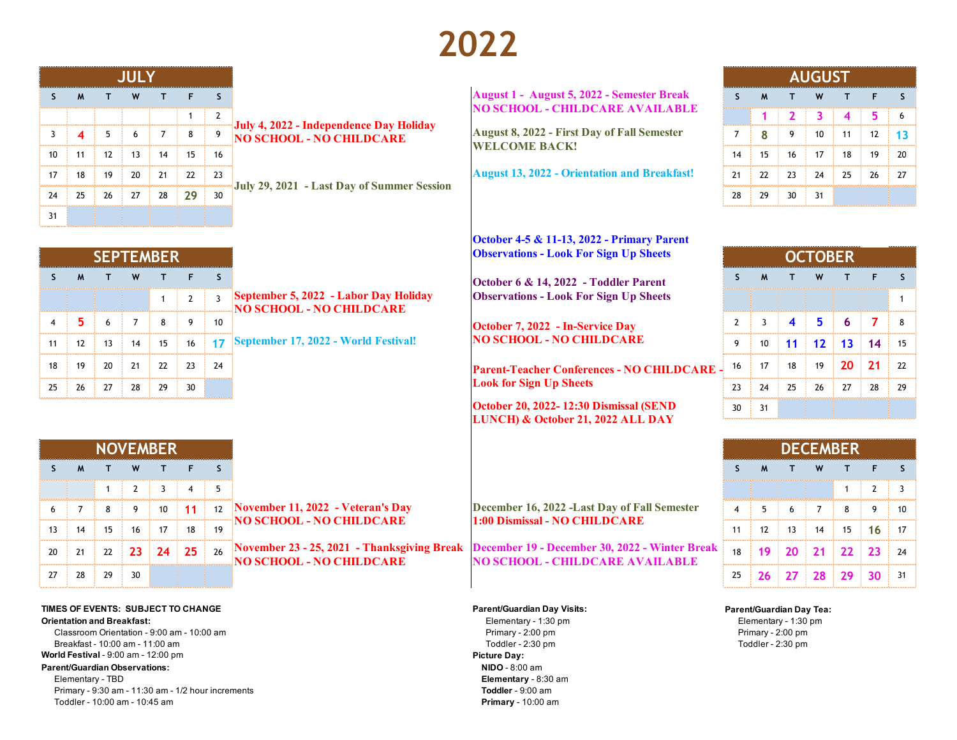# **2022**

|    |    |    | W  |    |    |     |                                                                                                | <b>August 1 - August 5, 2022 - Semester Break</b>   |    |    |     |    |    |     |    |  |
|----|----|----|----|----|----|-----|------------------------------------------------------------------------------------------------|-----------------------------------------------------|----|----|-----|----|----|-----|----|--|
|    |    |    |    |    |    |     |                                                                                                | <b>NO SCHOOL - CHILDCARE AVAILABLE</b>              |    |    |     |    |    |     |    |  |
|    |    |    |    |    |    |     | <b>Figure 1964, 1986</b> July 4, 2022 - Independence Day Holiday<br>FINO SCHOOL - NO CHILDCARE | <b>August 8, 2022 - First Day of Fall Semester</b>  |    |    |     | 10 |    | 12  |    |  |
| 10 |    | 12 | 13 | 14 | 15 | 16  |                                                                                                | <b>WELCOME BACK!</b>                                | 14 |    | 16  | 17 | 18 | 19. |    |  |
|    | 18 | 19 | 20 | 21 | 22 | 23  |                                                                                                | <b>August 13, 2022 - Orientation and Breakfast!</b> |    |    | 23  | 24 |    | 26  | 27 |  |
|    |    | 26 | 27 | 28 | 29 | -30 | July 29, 2021 - Last Day of Summer Session                                                     |                                                     | 28 | 29 | 30. | 31 |    |     |    |  |
|    |    |    |    |    |    |     |                                                                                                |                                                     |    |    |     |    |    |     |    |  |

## **S M T W T F S S M T W T F S August 1 - August 5, 2022 - Semester Break NO SCHOOL - CHILDCARE AVAILABLE**

**October 4-5 & 11-13, 2022 - Primary Parent** 

| <b>AUGUST</b> |              |                |    |    |    |    |  |  |  |  |
|---------------|--------------|----------------|----|----|----|----|--|--|--|--|
| S             | $\mathsf{M}$ | т              | W  | т  | F  | S  |  |  |  |  |
|               |              | $\overline{2}$ | 3  | 4  | 5  | 6  |  |  |  |  |
| 7             | 8            | 9              | 10 | 11 | 12 | 13 |  |  |  |  |
| 14            | 15           | 16             | 17 | 18 | 19 | 20 |  |  |  |  |
| 21            | 22           | 23             | 24 | 25 | 26 | 27 |  |  |  |  |
| 28            | 29           | 30             | 31 |    |    |    |  |  |  |  |

|    |                  |    |    |    |                                                                   |                                                    |    |    |    |    |     |    | ---------      |
|----|------------------|----|----|----|-------------------------------------------------------------------|----------------------------------------------------|----|----|----|----|-----|----|----------------|
|    | <b>SEPTEMBER</b> |    |    |    |                                                                   | <b>Observations - Look For Sign Up Sheets</b>      |    |    |    |    |     |    |                |
|    |                  |    |    |    |                                                                   | October 6 & 14, 2022 - Toddler Parent              |    | M  |    | W  |     |    |                |
|    |                  |    |    |    | September 5, 2022 - Labor Day Holiday<br>NO SCHOOL - NO CHILDCARE | <b>Observations - Look For Sign Up Sheets</b>      |    |    |    |    |     |    |                |
|    |                  |    |    |    |                                                                   | <b>October 7, 2022 - In-Service Day</b>            |    |    |    |    |     |    |                |
| 13 | 14               | 15 |    |    | 17 September 17, 2022 - World Festival!                           | <b>NO SCHOOL - NO CHILDCARE</b>                    |    |    |    |    |     | 14 | $\pm$ 15       |
| 20 |                  | 22 | 23 | 24 |                                                                   | <b>Parent-Teacher Conferences - NO CHILDCARE -</b> | 16 | 17 | 18 | 19 | 20. |    | $\frac{1}{22}$ |
| 27 | 28               | 29 | 30 |    |                                                                   | <b>Look for Sign Up Sheets</b>                     |    | 24 | 25 | 26 | 27  | 28 | $\frac{1}{29}$ |
|    |                  |    |    |    |                                                                   | October 20, 2022-12:30 Dismissal (SEND             | 30 |    |    |    |     |    |                |

|          |              |    | W   |             |    |    |                                           |                                                                                                                                               |    |    |    |                                                       |                  |
|----------|--------------|----|-----|-------------|----|----|-------------------------------------------|-----------------------------------------------------------------------------------------------------------------------------------------------|----|----|----|-------------------------------------------------------|------------------|
|          |              |    |     |             |    |    |                                           |                                                                                                                                               |    |    |    |                                                       |                  |
|          |              |    | -9  | $10 \pm 11$ |    |    | $_{12}$ November 11, 2022 - Veteran's Day | December 16, 2022 -Last Day of Fall Semester                                                                                                  |    |    |    |                                                       | $\cdot$ 10       |
| $13 \pm$ |              | 15 |     | 17          | 18 | 19 | NO SCHOOL - NO CHILDCARE                  | 1:00 Dismissal - NO CHILDCARE                                                                                                                 |    |    | 14 |                                                       | $\frac{1}{2}$ 17 |
|          | $20 \div 21$ | 22 | 23. |             |    |    | NO SCHOOL - NO CHILDCARE                  | 24 25 26 November 23 - 25, 2021 - Thanksgiving Break December 19 - December 30, 2022 - Winter Break<br><b>NO SCHOOL - CHILDCARE AVAILABLE</b> | 18 | 20 |    |                                                       | $\frac{1}{24}$   |
|          | 27 : 28      | 29 | 30  |             |    |    |                                           |                                                                                                                                               |    | 27 |    | $\frac{1}{28}$ 29 $\frac{1}{29}$ 30 $\frac{1}{21}$ 31 |                  |

Elementary - 1:30 pm Elementary - 1:30 pm

| <b>SEPTEMBER</b> |    |    |    |    |                |                                                                   | <b>Observations - Look For Sign Up Sheets</b>      |    |    |    |    |                           |             |      |  |  |  |  |  |  |
|------------------|----|----|----|----|----------------|-------------------------------------------------------------------|----------------------------------------------------|----|----|----|----|---------------------------|-------------|------|--|--|--|--|--|--|
|                  |    |    |    |    |                |                                                                   | October 6 & 14, 2022 - Toddler Parent              |    |    |    |    |                           |             |      |  |  |  |  |  |  |
|                  |    |    |    |    |                | September 5, 2022 - Labor Day Holiday<br>NO SCHOOL - NO CHILDCARE | <b>Observations - Look For Sign Up Sheets</b>      |    |    |    |    |                           |             |      |  |  |  |  |  |  |
|                  |    |    |    |    |                |                                                                   | October 7, 2022 - In-Service Day                   |    |    |    |    |                           |             |      |  |  |  |  |  |  |
| 12               |    | 14 | 15 |    |                | 16 17 September 17, 2022 - World Festival!                        | <b>NO SCHOOL - NO CHILDCARE</b>                    |    |    |    |    |                           | $14 \pm 15$ |      |  |  |  |  |  |  |
| 19               | 20 | 21 | 22 |    | $\frac{1}{24}$ |                                                                   | <b>Parent-Teacher Conferences - NO CHILDCARE -</b> | 16 | 17 | 18 |    | $19 \pm 20 \pm 21 \pm 22$ |             |      |  |  |  |  |  |  |
|                  |    | 28 | 29 | 30 |                |                                                                   | <b>Look for Sign Up Sheets</b>                     |    |    | 25 | 26 |                           | 28          | - 29 |  |  |  |  |  |  |

| <b>NOVEMBER</b> |    |    |    |              |    |     |  |  |  |  |  |  |
|-----------------|----|----|----|--------------|----|-----|--|--|--|--|--|--|
| S               | M  |    | W  |              | F  |     |  |  |  |  |  |  |
|                 |    |    | 2  | 3            |    | 5   |  |  |  |  |  |  |
| 6               | 7  | 8  | 9  | 10           | 11 | 12  |  |  |  |  |  |  |
| 13              | 14 | 15 | 16 | 17           | 18 | 19  |  |  |  |  |  |  |
| 20              | 21 | 22 | 23 | $24 \div 25$ |    | -26 |  |  |  |  |  |  |
| 27              | 28 | 29 | 30 |              |    |     |  |  |  |  |  |  |

**TIMES OF EVENTS: SUBJECT TO CHANGE**

**Orientation and Breakfast:**

Breakfast - 10:00 am - 11:00 am **World Festival** - 9:00 am - 12:00 pm Classroom Orientation - 9:00 am - 10:00 am

#### **Parent/Guardian Observations:**

Toddler - 10:00 am - 10:45 am **Primary** - 10:00 am Primary - 9:30 am - 11:30 am - 1/2 hour increments Elementary - TBD

### **Parent/Guardian Day Visits: Parent/Guardian Day Tea:**

**October 20, 2022- 12:30 Dismissal (SEND LUNCH) & October 21, 2022 ALL DAY**

Primary - 2:00 pm Primary - 2:00 pm Toddler - 2:30 pm Toddler - 2:30 pm **Picture Day: NIDO** - 8:00 am **Elementary** - 8:30 am **Toddler** - 9:00 am